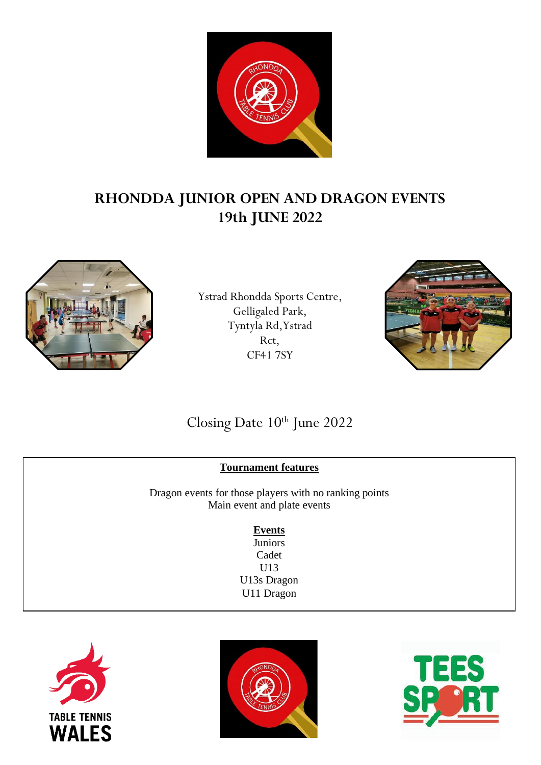

# **RHONDDA JUNIOR OPEN AND DRAGON EVENTS 19th JUNE 2022**



Ystrad Rhondda Sports Centre, Gelligaled Park, Tyntyla Rd,Ystrad Rct, CF41 7SY



# Closing Date 10<sup>th</sup> June 2022

### **Tournament features**

Dragon events for those players with no ranking points Main event and plate events

### **Events**

**Juniors** Cadet U13 U13s Dragon U11 Dragon





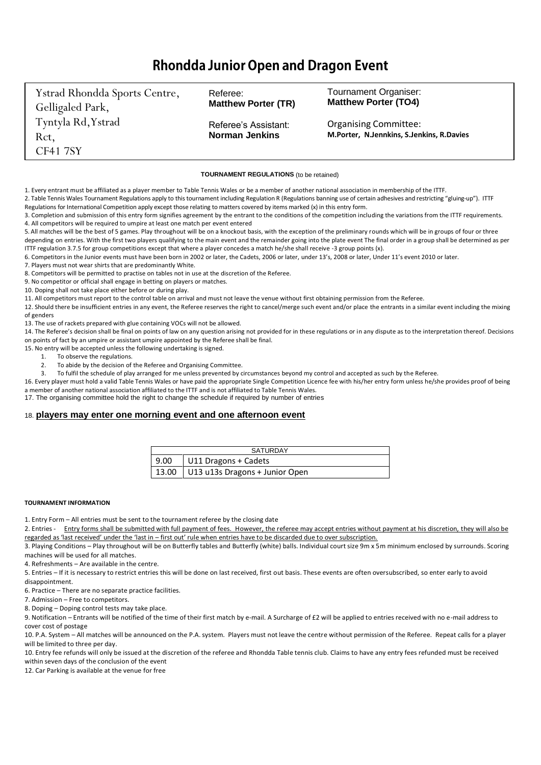## **Rhondda Junior Open and Dragon Event**

Ystrad Rhondda Sports Centre, Gelligaled Park, Tyntyla Rd,Ystrad Rct, CF41 7SY Referee: **Matthew Porter (TR)**  Referee's Assistant: **Norman Jenkins**  Tournament Organiser: **Matthew Porter (TO4)** Organising Committee: **M.Porter, N.Jennkins, S.Jenkins, R.Davies** 

#### **TOURNAMENT REGULATIONS** (to be retained)

1. Every entrant must be affiliated as a player member to Table Tennis Wales or be a member of another national association in membership of the ITTF.

2. Table Tennis Wales Tournament Regulations apply to this tournament including Regulations (Regulations banning use of certain adhesives and restricting "gluing-up"). ITTF Regulations for International Competition apply except those relating to matters covered by items marked (x) in this entry form.

3. Completion and submission of this entry form signifies agreement by the entrant to the conditions of the competition including the variations from the ITTF requirements. 4. All competitors will be required to umpire at least one match per event entered

5. All matches will be the best of 5 games. Play throughout will be on a knockout basis, with the exception of the preliminary rounds which will be in groups of four or three depending on entries. With the first two players qualifying to the main event and the remainder going into the plate event The final order in a group shall be determined as per ITTF regulation 3.7.5 for group competitions except that where a player concedes a match he/she shall receive -3 group points (x).

6. Competitors in the Junior events must have been born in 2002 or later, the Cadets, 2006 or later, under 13's, 2008 or later, Under 11's event 2010 or later.

7. Players must not wear shirts that are predominantly White.

8. Competitors will be permitted to practise on tables not in use at the discretion of the Referee.

9. No competitor or official shall engage in betting on players or matches.

10. Doping shall not take place either before or during play.

11. All competitors must report to the control table on arrival and must not leave the venue without first obtaining permission from the Referee.

12. Should there be insufficient entries in any event, the Referee reserves the right to cancel/merge such event and/or place the entrants in a similar event including the mixing of genders

13. The use of rackets prepared with glue containing VOCs will not be allowed.

14. The Referee's decision shall be final on points of law on any question arising not provided for in these regulations or in any dispute as to the interpretation thereof. Decisions on points of fact by an umpire or assistant umpire appointed by the Referee shall be final.

15. No entry will be accepted unless the following undertaking is signed.

- 1. To observe the regulations.
- 2. To abide by the decision of the Referee and Organising Committee.

3. To fulfil the schedule of play arranged for me unless prevented by circumstances beyond my control and accepted as such by the Referee.

16. Every player must hold a valid Table Tennis Wales or have paid the appropriate Single Competition Licence fee with his/her entry form unless he/she provides proof of being a member of another national association affiliated to the ITTF and is not affiliated to Table Tennis Wales.

17. The organising committee hold the right to change the schedule if required by number of entries

#### 18. **players may enter one morning event and one afternoon event**

|      | <b>SATURDAY</b>                        |
|------|----------------------------------------|
| 9.00 | U11 Dragons + Cadets                   |
|      | 13.00   U13 u13s Dragons + Junior Open |

#### **TOURNAMENT INFORMATION**

1. Entry Form – All entries must be sent to the tournament referee by the closing date

2. Entries - Entry forms shall be submitted with full payment of fees. However, the referee may accept entries without payment at his discretion, they will also be regarded as 'last received' under the 'last in – first out' rule when entries have to be discarded due to over subscription.

3. Playing Conditions – Play throughout will be on Butterfly tables and Butterfly (white) balls. Individual court size 9m x 5m minimum enclosed by surrounds. Scoring machines will be used for all matches.

4. Refreshments – Are available in the centre.

5. Entries – If it is necessary to restrict entries this will be done on last received, first out basis. These events are often oversubscribed, so enter early to avoid disappointment.

6. Practice – There are no separate practice facilities.

7. Admission – Free to competitors.

8. Doping – Doping control tests may take place.

9. Notification – Entrants will be notified of the time of their first match by e-mail. A Surcharge of £2 will be applied to entries received with no e-mail address to cover cost of postage

10. P.A. System – All matches will be announced on the P.A. system. Players must not leave the centre without permission of the Referee. Repeat calls for a player will be limited to three per day.

10. Entry fee refunds will only be issued at the discretion of the referee and Rhondda Table tennis club. Claims to have any entry fees refunded must be received within seven days of the conclusion of the event

12. Car Parking is available at the venue for free